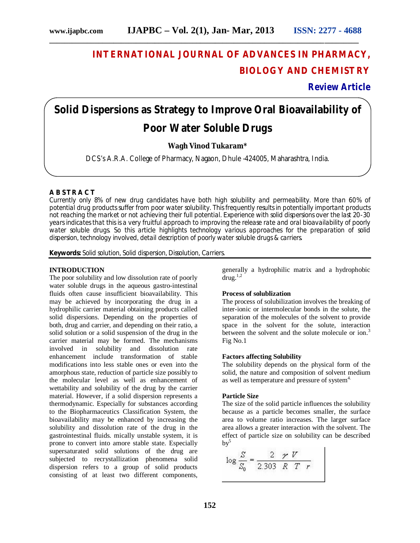## **INTERNATIONAL JOURNAL OF ADVANCES IN PHARMACY, BIOLOGY AND CHEMISTRY**

**Review Article**

# **Solid Dispersions as Strategy to Improve Oral Bioavailability of Poor Water Soluble Drugs**

**\_\_\_\_\_\_\_\_\_\_\_\_\_\_\_\_\_\_\_\_\_\_\_\_\_\_\_\_\_\_\_\_\_\_\_\_\_\_\_\_\_\_\_\_\_\_\_\_\_\_\_\_\_\_\_\_\_\_\_\_\_\_\_\_\_\_\_\_\_\_\_\_\_\_\_\_\_\_\_\_\_\_**

## **Wagh Vinod Tukaram\***

DCS's A.R.A. College of Pharmacy, Nagaon, Dhule -424005, Maharashtra, India.

## **A B S T R A C T**

Currently only 8% of new drug candidates have both high solubility and permeability. More than 60% of potential drug products suffer from poor water solubility. This frequently results in potentially important products not reaching the market or not achieving their full potential. Experience with solid dispersions over the last 20-30 years indicates that this is a very fruitful approach to improving the release rate and oral bioavailability of poorly water soluble drugs. So this article highlights technology various approaches for the preparation of solid dispersion, technology involved, detail description of poorly water soluble drugs & carriers.

**Keywords:** Solid solution, Solid dispersion, Dissolution, Carriers.

#### **INTRODUCTION**

The poor solubility and low dissolution rate of poorly water soluble drugs in the aqueous gastro-intestinal fluids often cause insufficient bioavailability. This may be achieved by incorporating the drug in a hydrophilic carrier material obtaining products called solid dispersions. Depending on the properties of both, drug and carrier, and depending on their ratio, a solid solution or a solid suspension of the drug in the carrier material may be formed. The mechanisms involved in solubility and dissolution rate enhancement include transformation of stable modifications into less stable ones or even into the amorphous state, reduction of particle size possibly to the molecular level as well as enhancement of wettability and solubility of the drug by the carrier material. However, if a solid dispersion represents a thermodynamic. Especially for substances according to the Biopharmaceutics Classification System, the bioavailability may be enhanced by increasing the solubility and dissolution rate of the drug in the gastrointestinal fluids. mically unstable system, it is prone to convert into amore stable state. Especially supersaturated solid solutions of the drug are subjected to recrystallization phenomena solid dispersion refers to a group of solid products consisting of at least two different components,

generally a hydrophilic matrix and a hydrophobic  $\text{drug.}^{1,2}$ 

## **Process of solublization**

The process of solubilization involves the breaking of inter-ionic or intermolecular bonds in the solute, the separation of the molecules of the solvent to provide space in the solvent for the solute, interaction between the solvent and the solute molecule or ion.<sup>3</sup> Fig No.1

#### **Factors affecting Solubility**

The solubility depends on the physical form of the solid, the nature and composition of solvent medium as well as temperature and pressure of system<sup>4.</sup>

#### **Particle Size**

The size of the solid particle influences the solubility because as a particle becomes smaller, the surface area to volume ratio increases. The larger surface area allows a greater interaction with the solvent. The effect of particle size on solubility can be described  $bv^5$ 

$$
\log \frac{S}{S_0} = \frac{2 \times V}{2.303 \times R \times T}
$$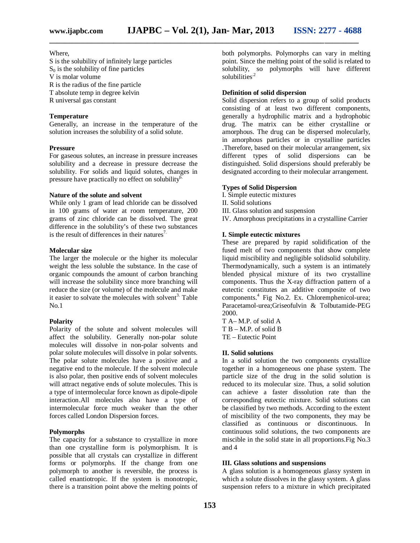## Where,

S is the solubility of infinitely large particles  $S<sub>0</sub>$  is the solubility of fine particles V is molar volume R is the radius of the fine particle T absolute temp in degree kelvin R universal gas constant

## **Temperature**

Generally, an increase in the temperature of the solution increases the solubility of a solid solute.

#### **Pressure**

For gaseous solutes, an increase in pressure increases solubility and a decrease in pressure decrease the solubility. For solids and liquid solutes, changes in pressure have practically no effect on solubility<sup>6.</sup>

#### **Nature of the solute and solvent**

While only 1 gram of lead chloride can be dissolved in 100 grams of water at room temperature, 200 grams of zinc chloride can be dissolved. The great difference in the solubility's of these two substances is the result of differences in their natures<sup>7.</sup>

#### **Molecular size**

The larger the molecule or the higher its molecular weight the less soluble the substance. In the case of organic compounds the amount of carbon branching will increase the solubility since more branching will reduce the size (or volume) of the molecule and make it easier to solvate the molecules with solvent<sup>3.</sup> Table No.1

## **Polarity**

Polarity of the solute and solvent molecules will affect the solubility. Generally non-polar solute molecules will dissolve in non-polar solvents and polar solute molecules will dissolve in polar solvents. The polar solute molecules have a positive and a negative end to the molecule. If the solvent molecule is also polar, then positive ends of solvent molecules will attract negative ends of solute molecules. This is a type of intermolecular force known as dipole-dipole interaction.All molecules also have a type of intermolecular force much weaker than the other forces called London Dispersion forces.

#### **Polymorphs**

The capacity for a substance to crystallize in more than one crystalline form is polymorphism. It is possible that all crystals can crystallize in different forms or polymorphs. If the change from one polymorph to another is reversible, the process is called enantiotropic. If the system is monotropic, there is a transition point above the melting points of

both polymorphs. Polymorphs can vary in melting point. Since the melting point of the solid is related to solubility, so polymorphs will have different solubilities<sup>.2</sup>

## **Definition of solid dispersion**

Solid dispersion refers to a group of solid products consisting of at least two different components, generally a hydrophilic matrix and a hydrophobic drug. The matrix can be either crystalline or amorphous. The drug can be dispersed molecularly, in amorphous particles or in crystalline particles .Therefore, based on their molecular arrangement, six different types of solid dispersions can be distinguished. Solid dispersions should preferably be designated according to their molecular arrangement.

## **Types of Solid Dispersion**

I. Simple eutectic mixtures II. Solid solutions III. Glass solution and suspension IV. Amorphous precipitations in a crystalline Carrier

## **I. Simple eutectic mixtures**

These are prepared by rapid solidification of the fused melt of two components that show complete liquid miscibility and negligible solidsolid solubility. Thermodynamically, such a system is an intimately blended physical mixture of its two crystalline components. Thus the X-ray diffraction pattern of a eutectic constitutes an additive composite of two components.<sup>4</sup> Fig No.2. Ex. Chloremphenicol-urea; Paracetamol-urea;Griseofulvin & Tolbutamide-PEG 2000.

T A– M.P. of solid A T B – M.P. of solid B TE – Eutectic Point

#### **II. Solid solutions**

In a solid solution the two components crystallize together in a homogeneous one phase system. The particle size of the drug in the solid solution is reduced to its molecular size. Thus, a solid solution can achieve a faster dissolution rate than the corresponding eutectic mixture. Solid solutions can be classified by two methods. According to the extent of miscibility of the two components, they may be classified as continuous or discontinuous. In continuous solid solutions, the two components are miscible in the solid state in all proportions.Fig No.3 and 4

## **III. Glass solutions and suspensions**

A glass solution is a homogeneous glassy system in which a solute dissolves in the glassy system. A glass suspension refers to a mixture in which precipitated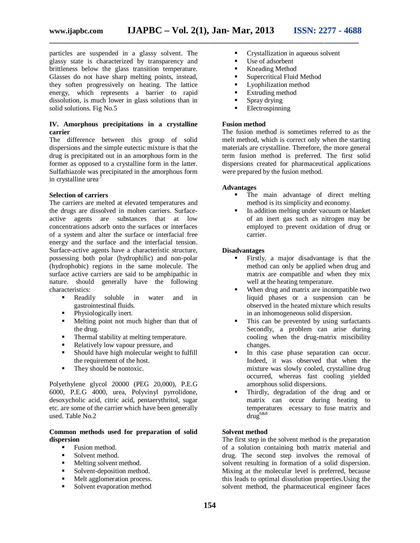particles are suspended in a glassy solvent. The glassy state is characterized by transparency and brittleness below the glass transition temperature. Glasses do not have sharp melting points, instead, they soften progressively on heating. The lattice energy, which represents a barrier to rapid dissolution, is much lower in glass solutions than in solid solutions. Fig No.5

## **IV. Amorphous precipitations in a crystalline carrier**

The difference between this group of solid dispersions and the simple eutectic mixture is that the drug is precipitated out in an amorphous form in the former as opposed to a crystalline form in the latter. Sulfathiazole was precipitated in the amorphous form in crystalline urea.<sup>7</sup>

#### **Selection of carriers**

The carriers are melted at elevated temperatures and the drugs are dissolved in molten carriers. Surfaceactive agents are substances that at low concentrations adsorb onto the surfaces or interfaces of a system and alter the surface or interfacial free energy and the surface and the interfacial tension. Surface-active agents have a characteristic structure, possessing both polar (hydrophilic) and non-polar (hydrophobic) regions in the same molecule. The surface active carriers are said to be amphipathic in nature. should generally have the following characteristics:

- **Readily** soluble in water and in gastrointestinal fluids.
- Physiologically inert.
- Melting point not much higher than that of the drug.
- Thermal stability at melting temperature.
- Relatively low vapour pressure, and
- Should have high molecular weight to fulfill the requirement of the host.
- They should be nontoxic.

Polyethylene glycol 20000 (PEG 20,000), P.E.G 6000, P.E.G 4000, urea, Polyvinyl pyrrolidone, desoxycholic acid, citric acid, pentaerythritol, sugar etc. are some of the carrier which have been generally used. Table No.2

## **Common methods used for preparation of solid dispersion**

- Fusion method.
- $\blacksquare$  Solvent method.
- Melting solvent method.
- Solvent-deposition method.
- **Melt agglomeration process.**
- Solvent evaporation method
- **Crystallization in aqueous solvent**
- Use of adsorbent
- Kneading Method
- **Supercritical Fluid Method**
- **Lyophilization method**
- **Extruding method**
- **Spray drying**
- **Electrospinning**

## **Fusion method**

The fusion method is sometimes referred to as the melt method, which is correct only when the starting materials are crystalline. Therefore, the more general term fusion method is preferred. The first solid dispersions created for pharmaceutical applications were prepared by the fusion method.

#### **Advantages**

- The main advantage of direct melting method is its simplicity and economy.
- In addition melting under vacuum or blanket of an inert gas such as nitrogen may be employed to prevent oxidation of drug or carrier.

#### **Disadvantages**

- Firstly, a major disadvantage is that the method can only be applied when drug and matrix are compatible and when they mix well at the heating temperature.
- When drug and matrix are incompatible two liquid phases or a suspension can be observed in the heated mixture which results in an inhomogeneous solid dispersion.
- This can be prevented by using surfactants Secondly, a problem can arise during cooling when the drug-matrix miscibility changes.
- In this case phase separation can occur. Indeed, it was observed that when the mixture was slowly cooled, crystalline drug occurred, whereas fast cooling yielded amorphous solid dispersions.
- Thirdly, degradation of the drug and or matrix can occur during heating to temperatures ecessary to fuse matrix and  $\text{drug}^{6\&8}$

## **Solvent method**

The first step in the solvent method is the preparation of a solution containing both matrix material and drug. The second step involves the removal of solvent resulting in formation of a solid dispersion. Mixing at the molecular level is preferred, because this leads to optimal dissolution properties.Using the solvent method, the pharmaceutical engineer faces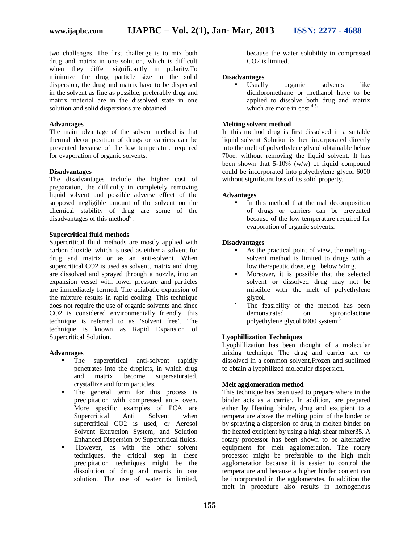two challenges. The first challenge is to mix both drug and matrix in one solution, which is difficult when they differ significantly in polarity.To minimize the drug particle size in the solid dispersion, the drug and matrix have to be dispersed in the solvent as fine as possible, preferably drug and matrix material are in the dissolved state in one solution and solid dispersions are obtained.

## **Advantages**

The main advantage of the solvent method is that thermal decomposition of drugs or carriers can be prevented because of the low temperature required for evaporation of organic solvents.

#### **Disadvantages**

The disadvantages include the higher cost of preparation, the difficulty in completely removing liquid solvent and possible adverse effect of the supposed negligible amount of the solvent on the chemical stability of drug are some of the disadvantages of this method $8<sup>8</sup>$ .

## **Supercritical fluid methods**

Supercritical fluid methods are mostly applied with carbon dioxide, which is used as either a solvent for drug and matrix or as an anti-solvent. When supercritical CO2 is used as solvent, matrix and drug are dissolved and sprayed through a nozzle, into an expansion vessel with lower pressure and particles are immediately formed. The adiabatic expansion of the mixture results in rapid cooling. This technique does not require the use of organic solvents and since CO2 is considered environmentally friendly, this technique is referred to as 'solvent free'. The technique is known as Rapid Expansion of Supercritical Solution.

#### **Advantages**

- The supercritical anti-solvent rapidly penetrates into the droplets, in which drug<br>and matrix become supersaturated. and matrix become supersaturated, crystallize and form particles.
- The general term for this process is precipitation with compressed anti- oven. More specific examples of PCA are Supercritical Anti Solvent when supercritical CO2 is used, or Aerosol Solvent Extraction System, and Solution Enhanced Dispersion by Supercritical fluids.
- However, as with the other solvent techniques, the critical step in these precipitation techniques might be the dissolution of drug and matrix in one solution. The use of water is limited,

because the water solubility in compressed CO2 is limited.

#### **Disadvantages**

 Usually organic solvents like dichloromethane or methanol have to be applied to dissolve both drug and matrix which are more in cost  $4,5$ .

## **Melting solvent method**

In this method drug is first dissolved in a suitable liquid solvent Solution is then incorporated directly into the melt of polyethylene glycol obtainable below 70oe, without removing the liquid solvent. It has been shown that 5-10% (w/w) of liquid compound could be incorporated into polyethylene glycol 6000 without significant loss of its solid property.

#### **Advantages**

 In this method that thermal decomposition of drugs or carriers can be prevented because of the low temperature required for evaporation of organic solvents.

#### **Disadvantages**

- As the practical point of view, the melting solvent method is limited to drugs with a low therapeutic dose, e.g., below 50mg.
- Moreover, it is possible that the selected solvent or dissolved drug may not be miscible with the melt of polyethylene glycol.
	- The feasibility of the method has been demonstrated on spironolactone polyethylene glycol 6000 system.6

## **Lyophillization Techniques**

Lyophillization has been thought of a molecular mixing technique The drug and carrier are co dissolved in a common solvent,Frozen and sublimed to obtain a lyophilized molecular dispersion.

## **Melt agglomeration method**

This technique has been used to prepare where in the binder acts as a carrier. In addition, are prepared either by Heating binder, drug and excipient to a temperature above the melting point of the binder or by spraying a dispersion of drug in molten binder on the heated excipient by using a high shear mixer35. A rotary processor has been shown to be alternative equipment for melt agglomeration. The rotary processor might be preferable to the high melt agglomeration because it is easier to control the temperature and because a higher binder content can be incorporated in the agglomerates. In addition the melt in procedure also results in homogenous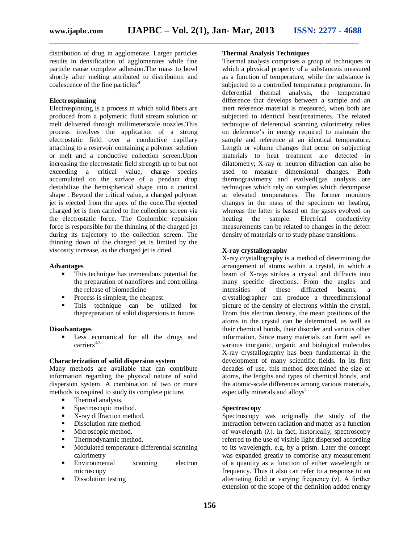distribution of drug in agglomerate. Larger particles results in densification of agglomerates while fine particle cause complete adhesion.The mass to bowl shortly after melting attributed to distribution and coalescence of the fine particles.<sup>4</sup>

## **Electrospinning**

Electrospinning is a process in which solid fibers are produced from a polymeric fluid stream solution or melt delivered through millimeterscale nozzles.This process involves the application of a strong electrostatic field over a conductive capillary attaching to a reservoir containing a polymer solution or melt and a conductive collection screen.Upon increasing the electrostatic field strength up to but not exceeding a critical value, charge species accumulated on the surface of a pendant drop destabilize the hemispherical shape into a conical shape . Beyond the critical value, a charged polymer jet is ejected from the apex of the cone.The ejected charged jet is then carried to the collection screen via the electrostatic force. The Coulombic repulsion force is responsible for the thinning of the charged jet during its trajectory to the collection screen. The thinning down of the charged jet is limited by the viscosity increase, as the charged jet is dried.

#### **Advantages**

- This technique has tremendous potential for the preparation of nanofibres and controlling the release of biomedicine
- Process is simplest, the cheapest.
- This technique can be utilized for thepreparation of solid dispersions in future.

#### **Disadvantages**

 Less economical for all the drugs and carriers<sup>3,7.</sup>

## **Characterization of solid dispersion system**

Many methods are available that can contribute information regarding the physical nature of solid dispersion system. A combination of two or more methods is required to study its complete picture.

- Thermal analysis.
- Spectroscopic method.
- $\blacksquare$  X-ray diffraction method.
- Dissolution rate method.
- **Microscopic method.**
- **•** Thermodynamic method.
- Modulated temperature differential scanning calorimetry
- Environmental scanning electron microscopy
- Dissolution testing

## **Thermal Analysis Techniques**

Thermal analysis comprises a group of techniques in which a physical property of a substanceis measured as a function of temperature, while the substance is subjected to a controlled temperature programme. In deferential thermal analysis, the temperature difference that develops between a sample and an inert reference material is measured, when both are subjected to identical heat{treatments. The related technique of deferential scanning calorimetry relies on deference's in energy required to maintain the sample and reference at an identical temperature. Length or volume changes that occur on subjecting materials to heat treatment are detected in dilatometry; X-ray or neutron difraction can also be used to measure dimensional changes. Both thermogravimetry and evolved{gas analysis are techniques which rely on samples which decompose at elevated temperatures. The former monitors changes in the mass of the specimen on heating, whereas the latter is based on the gases evolved on<br>heating the sample. Electrical conductivity heating the sample. Electrical conductivity measurements can be related to changes in the defect density of materials or to study phase transitions.

## **X-ray crystallography**

X-ray crystallography is a method of determining the arrangement of atoms within a crystal, in which a beam of X-rays strikes a crystal and diffracts into many specific directions. From the angles and intensities of these diffracted beams, a crystallographer can produce a threedimensional picture of the density of electrons within the crystal. From this electron density, the mean positions of the atoms in the crystal can be determined, as well as their chemical bonds, their disorder and various other information. Since many materials can form well as various inorganic, organic and biological molecules X-ray crystallography has been fundamental in the development of many scientific fields. In its first decades of use, this method determined the size of atoms, the lengths and types of chemical bonds, and the atomic-scale differences among various materials, especially minerals and alloys<sup>2</sup>.

## **Spectroscopy**

Spectroscopy was originally the study of the interaction between radiation and matter as a function of wavelength  $(\lambda)$ . In fact, historically, spectroscopy referred to the use of visible light dispersed according to its wavelength, e.g. by a prism. Later the concept was expanded greatly to comprise any measurement of a quantity as a function of either wavelength or frequency. Thus it also can refer to a response to an alternating field or varying frequency (ν). A further extension of the scope of the definition added energy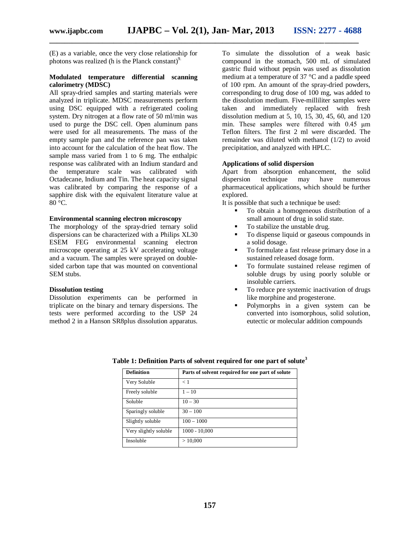(E) as a variable, once the very close relationship for photons was realized (h is the Planck constant) $9$ .

## **Modulated temperature differential scanning calorimetry (MDSC)**

All spray-dried samples and starting materials were analyzed in triplicate. MDSC measurements perform using DSC equipped with a refrigerated cooling system. Dry nitrogen at a flow rate of 50 ml/min was used to purge the DSC cell. Open aluminum pans were used for all measurements. The mass of the empty sample pan and the reference pan was taken into account for the calculation of the heat flow. The sample mass varied from 1 to 6 mg. The enthalpic response was calibrated with an Indium standard and the temperature scale was calibrated with Octadecane, Indium and Tin. The heat capacity signal was calibrated by comparing the response of a sapphire disk with the equivalent literature value at 80 °C.

## **Environmental scanning electron microscopy**

The morphology of the spray-dried ternary solid dispersions can be characterized with a Philips XL30 ESEM FEG environmental scanning electron microscope operating at 25 kV accelerating voltage and a vacuum. The samples were sprayed on doublesided carbon tape that was mounted on conventional SEM stubs.

## **Dissolution testing**

Dissolution experiments can be performed in triplicate on the binary and ternary dispersions. The tests were performed according to the USP 24 method 2 in a Hanson SR8plus dissolution apparatus.

To simulate the dissolution of a weak basic compound in the stomach, 500 mL of simulated gastric fluid without pepsin was used as dissolution medium at a temperature of 37 °C and a paddle speed of 100 rpm. An amount of the spray-dried powders, corresponding to drug dose of 100 mg, was added to the dissolution medium. Five-milliliter samples were taken and immediately replaced with fresh dissolution medium at 5, 10, 15, 30, 45, 60, and 120 min. These samples were filtered with 0.45 μm Teflon filters. The first 2 ml were discarded. The remainder was diluted with methanol (1/2) to avoid precipitation, and analyzed with HPLC.

## **Applications of solid dispersion**

Apart from absorption enhancement, the solid dispersion technique may have numerous pharmaceutical applications, which should be further explored.

It is possible that such a technique be used:

- To obtain a homogeneous distribution of a small amount of drug in solid state.
- To stabilize the unstable drug.
- To dispense liquid or gaseous compounds in a solid dosage.
- To formulate a fast release primary dose in a sustained released dosage form.
- To formulate sustained release regimen of soluble drugs by using poorly soluble or insoluble carriers.
- To reduce pre systemic inactivation of drugs like morphine and progesterone.
- Polymorphs in a given system can be converted into isomorphous, solid solution, eutectic or molecular addition compounds

| <b>Definition</b>     | Parts of solvent required for one part of solute |
|-----------------------|--------------------------------------------------|
| Very Soluble          | < 1                                              |
| Freely soluble        | $1 - 10$                                         |
| Soluble               | $10 - 30$                                        |
| Sparingly soluble     | $30 - 100$                                       |
| Slightly soluble      | $100 - 1000$                                     |
| Very slightly soluble | $1000 - 10,000$                                  |
| Insoluble             | >10,000                                          |

## **Table 1: Definition Parts of solvent required for one part of solute<sup>3</sup>**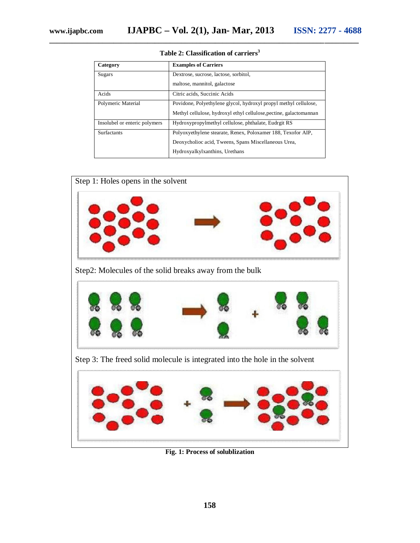| Category                      | <b>Examples of Carriers</b>                                        |
|-------------------------------|--------------------------------------------------------------------|
| Sugars                        | Dextrose, sucrose, lactose, sorbitol,                              |
|                               | maltose, mannitol, galactose                                       |
| Acids                         | Citric acids, Succinic Acids                                       |
| Polymeric Material            | Povidone, Polyethylene glycol, hydroxyl propyl methyl cellulose,   |
|                               | Methyl cellulose, hydroxyl ethyl cellulose, pectine, galactomannan |
| Insolubel or enteric polymers | Hydroxypropylmethyl cellulose, phthalate, Eudrgit RS               |
| <b>Surfactants</b>            | Polyoxyethylene stearate, Renex, Poloxamer 188, Texofor AIP,       |
|                               | Deoxycholioc acid, Tweens, Spans Miscellaneous Urea,               |
|                               | Hydroxyalkylxanthins, Urethans                                     |

**Table 2: Classification of carriers<sup>3</sup>**



**Fig. 1: Process of solublization**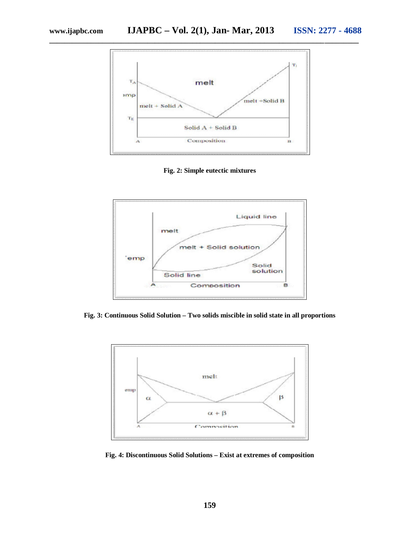

**Fig. 2: Simple eutectic mixtures**



**Fig. 3: Continuous Solid Solution – Two solids miscible in solid state in all proportions**



**Fig. 4: Discontinuous Solid Solutions – Exist at extremes of composition**